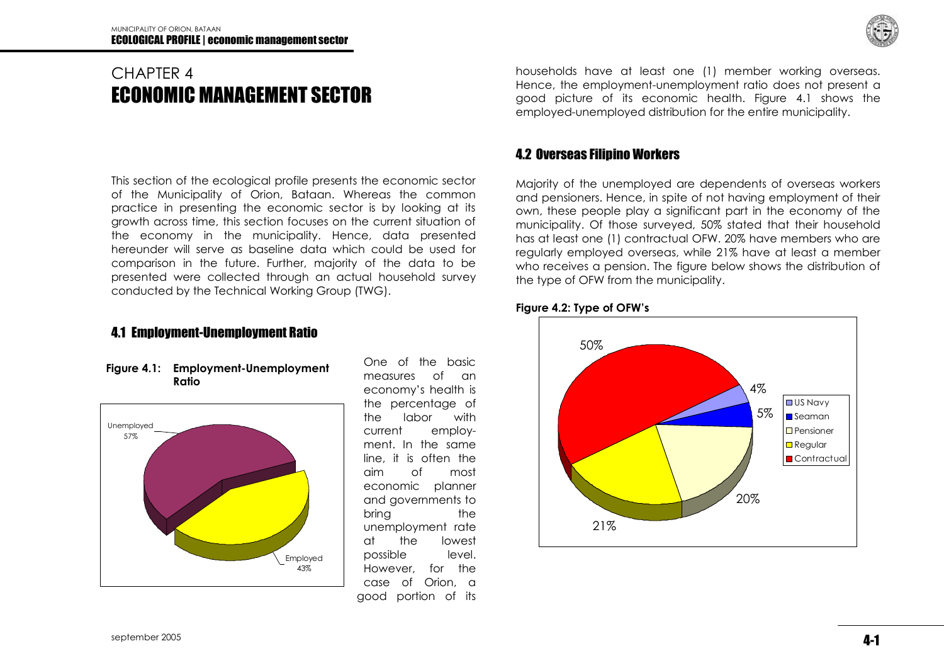# CHAPTER 4 ECONOMIC MANAGEMENT SECTOR

This section of the ecological profile presents the economic sector of the Municipality of Orion, Bataan. Whereas the common practice in presenting the economic sector is by looking at its growth across time, this section focuses on the current situation of the economy in the municipality. Hence, data presented hereunder will serve as baseline data which could be used for comparison in the future. Further, majority of the data to be presented were collected through an actual household survey conducted by the Technical Working Group (TWG).

### 4.1 Employment-Unemployment Ratio





One of the basic measures of an economy's health is the percentage of the labor with current employment. In the same line, it is often the aim of most economic planner and governments to bring the unemployment rate at the lowest possible level. However, for the case of Orion, a good portion of its

households have at least one (1) member working overseas. Hence, the employment-unemployment ratio does not present a good picture of its economic health. Figure 4.1 shows the employed-unemployed distribution for the entire municipality.

### 4.2 Overseas Filipino Workers

Majority of the unemployed are dependents of overseas workers and pensioners. Hence, in spite of not having employment of their own, these people play a significant part in the economy of the municipality. Of those surveyed, 50% stated that their household has at least one (1) contractual OFW. 20% have members who are regularly employed overseas, while 21% have at least a member who receives a pension. The figure below shows the distribution of the type of OFW from the municipality.

#### **Figure 4.2: Type of OFW's**

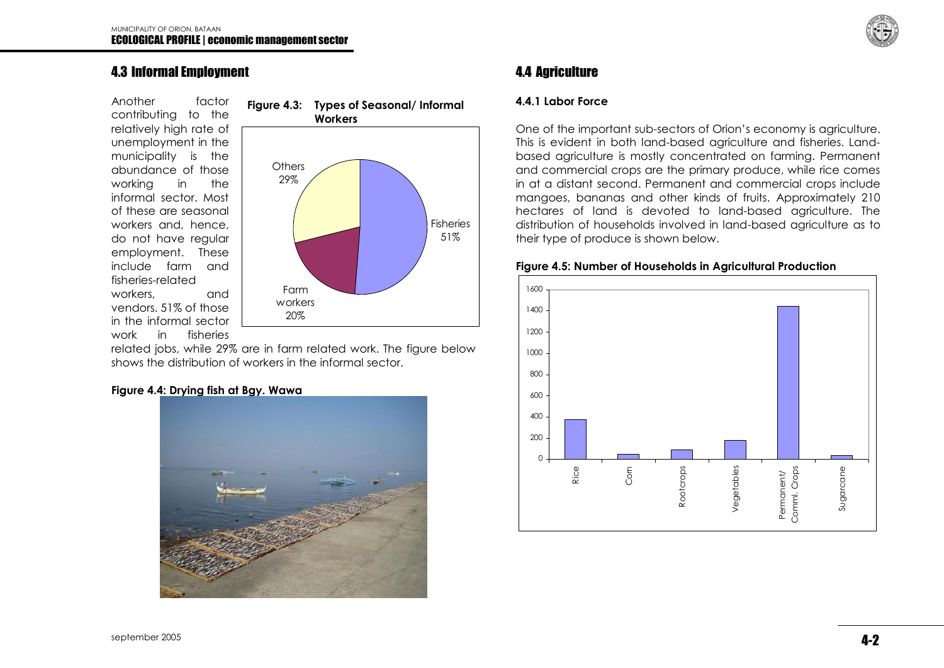### 4.3 Informal Employment

Another factor contributing to the relatively high rate of unemployment in the municipality is the abundance of those working in the informal sector. Most of these are seasonal workers and, hence, do not have regular employment. These include farm and fisheries-related workers, and vendors. 51% of those in the informal sector work in fisheries



related jobs, while 29% are in farm related work. The figure below shows the distribution of workers in the informal sector.

#### **Figure 4.4: Drying fish at Bgy. Wawa**



# 4.4 Agriculture

#### **4.4.1 Labor Force**

One of the important sub-sectors of Orion's economy is agriculture. This is evident in both land-based agriculture and fisheries. Landbased agriculture is mostly concentrated on farming. Permanent and commercial crops are the primary produce, while rice comes in at a distant second. Permanent and commercial crops include mangoes, bananas and other kinds of fruits. Approximately 210 hectares of land is devoted to land-based agriculture. The distribution of households involved in land-based agriculture as to their type of produce is shown below.

#### **Figure 4.5: Number of Households in Agricultural Production**

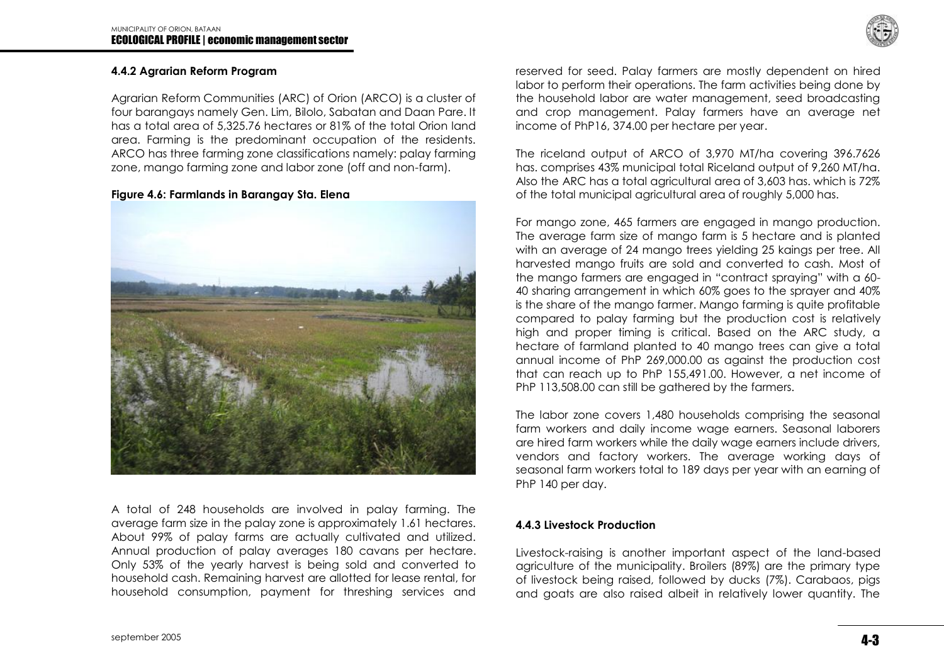

#### **4.4.2 Agrarian Reform Program**

Agrarian Reform Communities (ARC) of Orion (ARCO) is a cluster of four barangays namely Gen. Lim, Bilolo, Sabatan and Daan Pare. It has a total area of 5,325.76 hectares or 81% of the total Orion land area. Farming is the predominant occupation of the residents. ARCO has three farming zone classifications namely: palay farming zone, mango farming zone and labor zone (off and non-farm).

#### **Figure 4.6: Farmlands in Barangay Sta. Elena**



A total of 248 households are involved in palay farming. The average farm size in the palay zone is approximately 1.61 hectares. About 99% of palay farms are actually cultivated and utilized. Annual production of palay averages 180 cavans per hectare. Only 53% of the yearly harvest is being sold and converted to household cash. Remaining harvest are allotted for lease rental, for household consumption, payment for threshing services and

reserved for seed. Palay farmers are mostly dependent on hired labor to perform their operations. The farm activities being done by the household labor are water management, seed broadcasting and crop management. Palay farmers have an average net income of PhP16, 374.00 per hectare per year.

The riceland output of ARCO of 3,970 MT/ha covering 396.7626 has. comprises 43% municipal total Riceland output of 9,260 MT/ha. Also the ARC has a total agricultural area of 3,603 has. which is 72% of the total municipal agricultural area of roughly 5,000 has.

For mango zone, 465 farmers are engaged in mango production. The average farm size of mango farm is 5 hectare and is planted with an average of 24 mango trees yielding 25 kaings per tree. All harvested mango fruits are sold and converted to cash. Most of the mango farmers are engaged in "contract spraying" with a 60- 40 sharing arrangement in which 60% goes to the sprayer and 40% is the share of the mango farmer. Mango farming is quite profitable compared to palay farming but the production cost is relatively high and proper timing is critical. Based on the ARC study, a hectare of farmland planted to 40 mango trees can give a total annual income of PhP 269,000.00 as against the production cost that can reach up to PhP 155,491.00. However, a net income of PhP 113,508.00 can still be gathered by the farmers.

The labor zone covers 1,480 households comprising the seasonal farm workers and daily income wage earners. Seasonal laborers are hired farm workers while the daily wage earners include drivers, vendors and factory workers. The average working days of seasonal farm workers total to 189 days per year with an earning of PhP 140 per day.

#### **4.4.3 Livestock Production**

Livestock-raising is another important aspect of the land-based agriculture of the municipality. Broilers (89%) are the primary type of livestock being raised, followed by ducks (7%). Carabaos, pigs and goats are also raised albeit in relatively lower quantity. The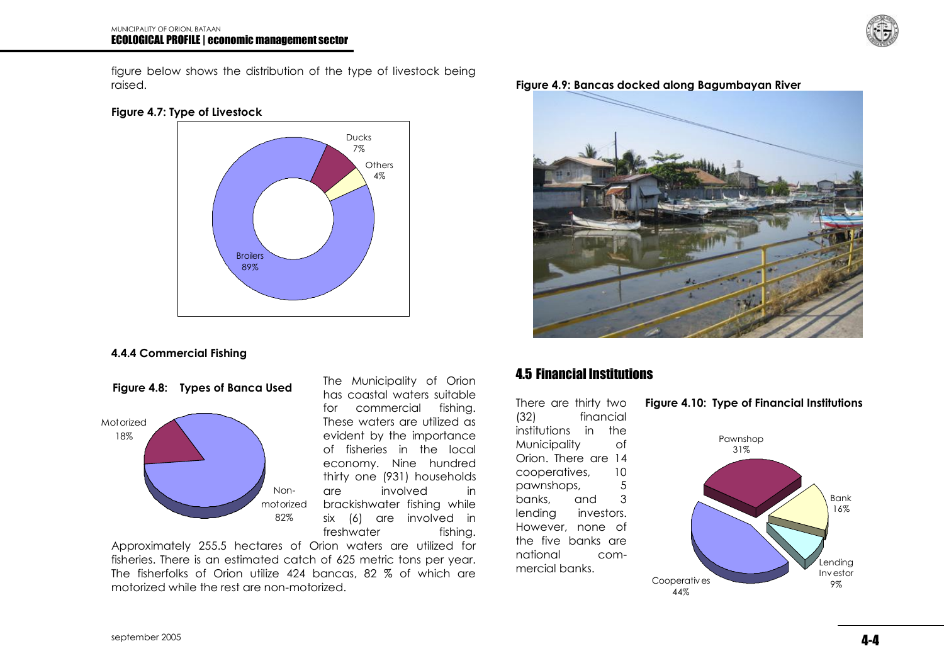

figure below shows the distribution of the type of livestock being raised.





#### **4.4.4 Commercial Fishing**



The Municipality of Orion has coastal waters suitable for commercial fishing. These waters are utilized as evident by the importance of fisheries in the local economy. Nine hundred thirty one (931) households are involved in brackishwater fishing while six (6) are involved in freshwater fishing.

Approximately 255.5 hectares of Orion waters are utilized for fisheries. There is an estimated catch of 625 metric tons per year. The fisherfolks of Orion utilize 424 bancas, 82 % of which are motorized while the rest are non-motorized.





### 4.5 Financial Institutions

There are thirty two (32) financial institutions in the Municipality of Orion. There are 14 cooperatives, 10 pawnshops, 5 banks, and 3 lending investors. However, none of the five banks are national commercial banks.

#### **Figure 4.10: Type of Financial Institutions**